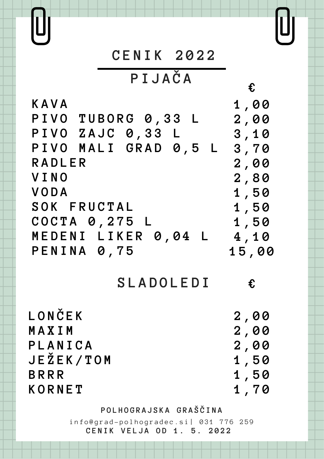**P I J A Č A**

**K A V A P I V O T U B O R G 0 , 3 3 L P I V O Z A J C 0 , 3 3 L P I V O M A L I G R A D 0 , 5 L 3 , 7 0 R A D L E R V I N O V O D A S O K F R U C T A L C O C T A 0 , 2 7 5 L M E D E N I L I K E R 0 , 0 4 L 4 , 1 0 P E N I N A 0 , 7 5 1 , 0 0 2 , 0 0 3 , 1 0 2 , 0 0 2 , 8 0 1 , 5 0 1 , 5 0 1 , 5 0 1 5 , 0 0**

**S L A D O L E D I**

**L O N Č E K M A X I M P L A N I C A J E Ž E K / T O M B R R R K O R N E T**

**€**

**€**

**P O L H O G R A J S K A G R A Š Č I N A**

info@grad-polhogradec.si| 031 776 259 **C E N I K V E L J A O D 1 . 5 . 2 0 2 2**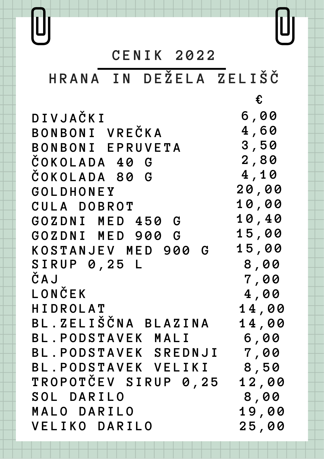# **H R A N A I N D E Ž E L A Z E L I Š Č**

**€**

**D I V J A Č K I B O N B O N I V R E Č K A B O N B O N I E P R U V E T A Č O K O L A D A 4 0 G Č O K O L A D A 8 0 G G O L D H O N E Y C U L A D O B R O T G O Z D N I M E D 4 5 0 G G O Z D N I M E D 9 0 0 G K O S T A N J E V M E D 9 0 0 G 6 , 0 0 4 , 6 0 3 , 5 0 2 , 8 0 4 , 1 0 2 0 , 0 0 1 0 , 0 0 1 0 , 4 0 1 5 , 0 0 1 5 , 0 0 S I R U P 0 , 2 5 L Č A J L O N Č E K H I D R O L A T B L . Z E L I Š Č N A B L A Z I N A B L . P O D S T A V E K M A L I B L . P O D S T A V E K S R E D N J I 7 , 0 0 B L . P O D S T A V E K V E L I K I T R O P O T Č E V S I R U P 0 , 2 5 S O L D A R I L O M A L O D A R I L O V E L I K O D A R I L O 8 , 0 0 7 , 0 0 4 , 0 0 1 4 , 0 0 1 4 , 0 0 6 , 0 0 8 , 5 0 1 2 , 0 0 8 , 0 0 1 9 , 0 0 2 5 , 0 0**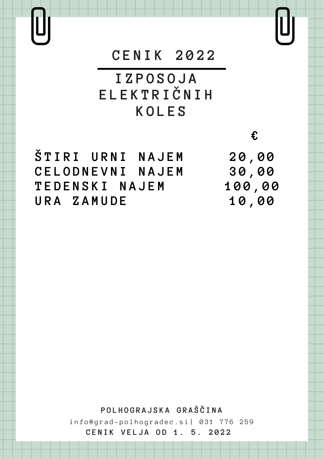Ù

# **C E N I K 2 0 2 2**

**I Z P O S O J A E L E K T R I Č N I H K O L E S**

 $\check{S}$   $T$  **I**  $R$  **I**  $U$  **R**  $N$  **I**  $N$  **A**  $J$  **E**  $M$ **C E L O D N E V N I N A J E M T E D E N S K I N A J E M U R A Z A M U D E**

**€**

 $[\mathbf{U}]$ 

**P O L H O G R A J S K A G R A Š Č I N A**  $info@grad-polhogradec.si | 031 776 259$ 

**C E N I K V E L J A O D 1 . 5 . 2 0 2 2**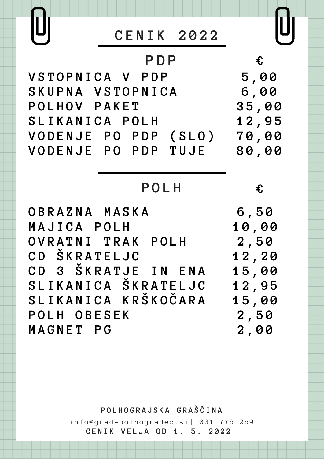

# **P O L H**

**O B R A Z N A M A S K A M A J I C A P O L H O V R A T N I T R A K P O L H C D Š K R A T E L J C C D 3 Š K R A T J E I N E N A S L I K A N I C A Š K R A T E L J C S L I K A N I C A K R Š K O Č A R A P O L H O B E S E K M A G N E T P G**

**€**

**P O L H O G R A J S K A G R A Š Č I N A**

 $info@grad-polhogradec.si | 031 776 259$ **C E N I K V E L J A O D 1 . 5 . 2 0 2 2**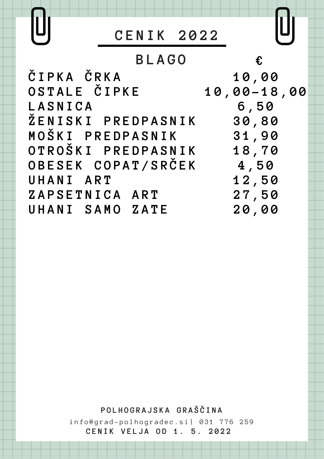

U

Ü

**B L A G O Č I P K A Č R K A O S T A L E Č I P K E L A S N I C A Ž E N I S K I P R E D P A S N I K M O Š K I P R E D P A S N I K O T R O Š K I P R E D P A S N I K O B E S E K C O P A T / S R Č E K U H A N I A R T Z A P S E T N I C A A R T U H A N I S A M O Z A T E 1 0 , 0 0 1 0 , 0 0 - 1 8 , 0 0 6 , 5 0 3 0 , 8 0 3 1 , 9 0 1 8 , 7 0 4 , 5 0 1 2 , 5 0 2 7 , 5 0 2 0 , 0 0 €**

**P O L H O G R A J S K A G R A Š Č I N A**

 $info@grad-polhogradec.si | 031 776 259$ **C E N I K V E L J A O D 1 . 5 . 2 0 2 2**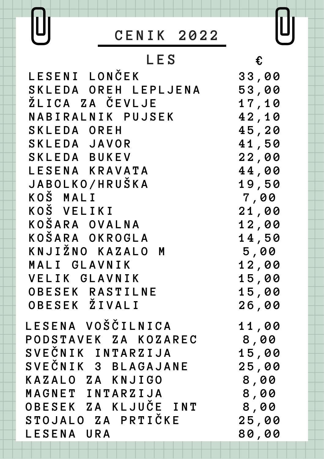#### **L E S**

**L E S E N A V O Š Č I L N I C A P O D S T A V E K Z A K O Z A R E C S V E Č N I K I N T A R Z I J A S V E Č N I K 3 B L A G A J A N E K A Z A L O Z A K N J I G O M A G N E T I N T A R Z I J A O B E S E K Z A K L J U Č E I N T S T O J A L O Z A P R T I Č K E L E S E N A U R A L E S E N I L O N Č E K S K L E D A O R E H L E P L J E N A Ž L I C A Z A Č E V L J E N A B I R A L N I K P U J S E K S K L E D A O R E H S K L E D A J A V O R S K L E D A B U K E V L E S E N A K R A V A T A J A B O L K O / H R U Š K A K O Š M A L I K O Š V E L I K I K O Š A R A O V A L N A K O Š A R A O K R O G L A K N J I Ž N O K A Z A L O M M A L I G L A V N I K V E L I K G L A V N I K O B E S E K R A S T I L N E O B E S E K Ž I V A L I**

 $\textcolor{red}{\textbf{0}}$ 

U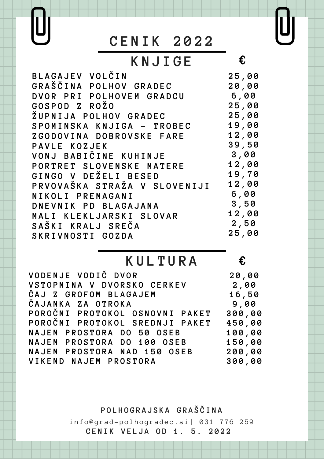UJ

# **K N J I G E**

| BLAGAJEV VOLČIN              | 25,00 |
|------------------------------|-------|
| GRAŠČINA POLHOV GRADEC       | 20,00 |
| DVOR PRI POLHOVEM GRADCU     | 6,00  |
| GOSPOD Z ROŽO                | 25,00 |
| ŽUPNIJA POLHOV GRADEC        | 25,00 |
| SPOMINSKA KNJIGA - TROBEC    | 19,00 |
| ZGODOVINA DOBROVSKE FARE     | 12,00 |
| PAVLE KOZJEK                 | 39,50 |
| VONJ BABIČINE KUHINJE        | 3,00  |
| PORTRET SLOVENSKE MATERE     | 12,00 |
| GINGO V DEŽELI BESED         | 19,70 |
| PRVOVAŠKA STRAŽA V SLOVENIJI | 12,00 |
| NIKOLI PREMAGANI             | 6,00  |
| DNEVNIK PD BLAGAJANA         | 3,50  |
| MALI KLEKLJARSKI SLOVAR      | 12,00 |
| SAŠKI KRALJ SREČA            | 2,50  |
| SKRIVNOSTI GOZDA             | 25,00 |
|                              |       |

### **K U L T U R A**

**€**

**€**

 $\begin{matrix} 0 \end{matrix}$ 

| VODENJE VODIČ DVOR              | 20,00  |
|---------------------------------|--------|
| VSTOPNINA V DVORSKO CERKEV 2,00 |        |
| ČAJ Z GROFOM BLAGAJEM           | 16,50  |
| ČAJANKA ZA OTROKA               | 9,00   |
| POROČNI PROTOKOL OSNOVNI PAKET  | 300,00 |
| POROČNI PROTOKOL SREDNJI PAKET  | 450,00 |
| NAJEM PROSTORA DO 50 OSEB       | 100,00 |
| NAJEM PROSTORA DO 100 OSEB      | 150,00 |
| NAJEM PROSTORA NAD 150 OSEB     | 200,00 |
| VIKEND NAJEM PROSTORA           | 300,00 |

**P O L H O G R A J S K A G R A Š Č I N A**

info@grad-polhogradec.si| 031 776 259 **C E N I K V E L J A O D 1 . 5 . 2 0 2 2**